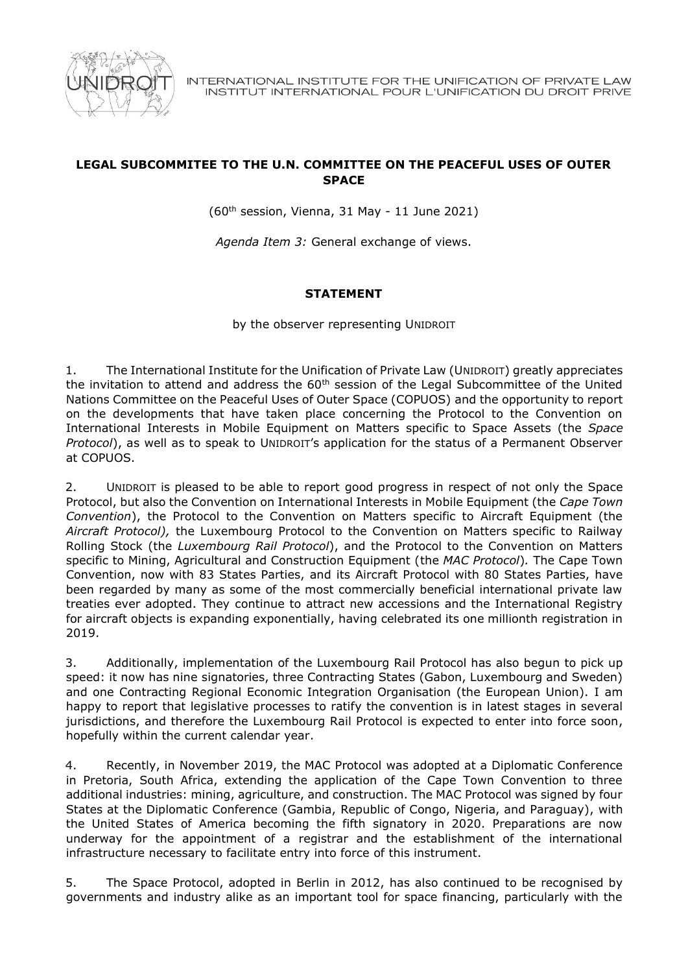

## **LEGAL SUBCOMMITEE TO THE U.N. COMMITTEE ON THE PEACEFUL USES OF OUTER SPACE**

(60th session, Vienna, 31 May - 11 June 2021)

*Agenda Item 3:* General exchange of views.

## **STATEMENT**

by the observer representing UNIDROIT

1. The International Institute for the Unification of Private Law (UNIDROIT) greatly appreciates the invitation to attend and address the  $60<sup>th</sup>$  session of the Legal Subcommittee of the United Nations Committee on the Peaceful Uses of Outer Space (COPUOS) and the opportunity to report on the developments that have taken place concerning the Protocol to the Convention on International Interests in Mobile Equipment on Matters specific to Space Assets (the *Space Protocol*), as well as to speak to UNIDROIT's application for the status of a Permanent Observer at COPUOS.

2. UNIDROIT is pleased to be able to report good progress in respect of not only the Space Protocol, but also the Convention on International Interests in Mobile Equipment (the *Cape Town Convention*), the Protocol to the Convention on Matters specific to Aircraft Equipment (the *Aircraft Protocol),* the Luxembourg Protocol to the Convention on Matters specific to Railway Rolling Stock (the *Luxembourg Rail Protocol*), and the Protocol to the Convention on Matters specific to Mining, Agricultural and Construction Equipment (the *MAC Protocol*)*.* The Cape Town Convention, now with 83 States Parties, and its Aircraft Protocol with 80 States Parties, have been regarded by many as some of the most commercially beneficial international private law treaties ever adopted. They continue to attract new accessions and the International Registry for aircraft objects is expanding exponentially, having celebrated its one millionth registration in 2019.

3. Additionally, implementation of the Luxembourg Rail Protocol has also begun to pick up speed: it now has nine signatories, three Contracting States (Gabon, Luxembourg and Sweden) and one Contracting Regional Economic Integration Organisation (the European Union). I am happy to report that legislative processes to ratify the convention is in latest stages in several jurisdictions, and therefore the Luxembourg Rail Protocol is expected to enter into force soon, hopefully within the current calendar year.

4. Recently, in November 2019, the MAC Protocol was adopted at a Diplomatic Conference in Pretoria, South Africa, extending the application of the Cape Town Convention to three additional industries: mining, agriculture, and construction. The MAC Protocol was signed by four States at the Diplomatic Conference (Gambia, Republic of Congo, Nigeria, and Paraguay), with the United States of America becoming the fifth signatory in 2020. Preparations are now underway for the appointment of a registrar and the establishment of the international infrastructure necessary to facilitate entry into force of this instrument.

5. The Space Protocol, adopted in Berlin in 2012, has also continued to be recognised by governments and industry alike as an important tool for space financing, particularly with the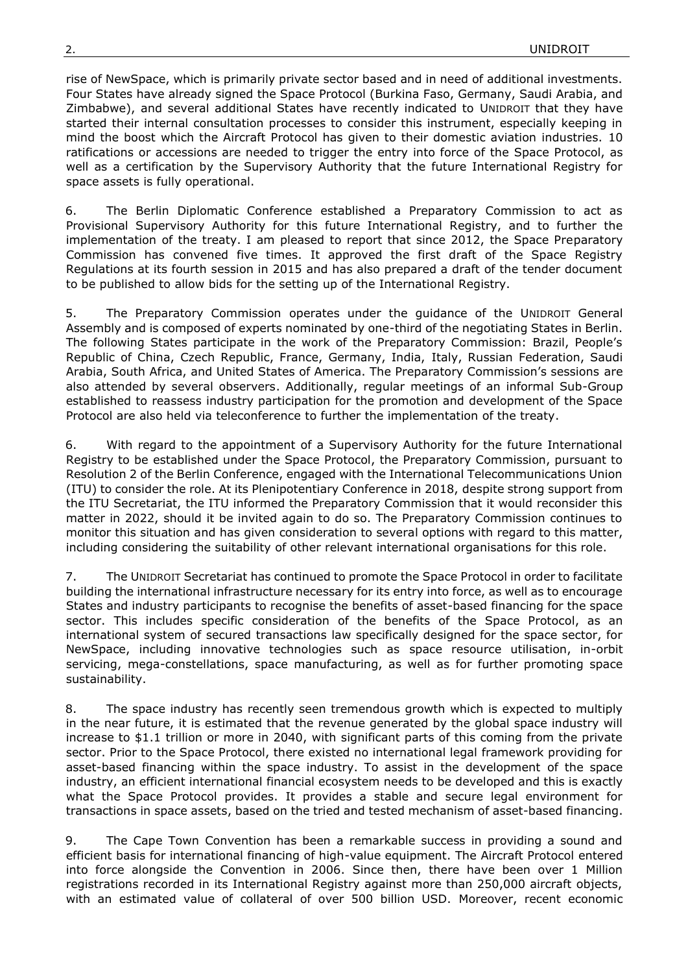rise of NewSpace, which is primarily private sector based and in need of additional investments. Four States have already signed the Space Protocol (Burkina Faso, Germany, Saudi Arabia, and Zimbabwe), and several additional States have recently indicated to UNIDROIT that they have started their internal consultation processes to consider this instrument, especially keeping in mind the boost which the Aircraft Protocol has given to their domestic aviation industries. 10 ratifications or accessions are needed to trigger the entry into force of the Space Protocol, as well as a certification by the Supervisory Authority that the future International Registry for space assets is fully operational.

6. The Berlin Diplomatic Conference established a Preparatory Commission to act as Provisional Supervisory Authority for this future International Registry, and to further the implementation of the treaty. I am pleased to report that since 2012, the Space Preparatory Commission has convened five times. It approved the first draft of the Space Registry Regulations at its fourth session in 2015 and has also prepared a draft of the tender document to be published to allow bids for the setting up of the International Registry.

5. The Preparatory Commission operates under the guidance of the UNIDROIT General Assembly and is composed of experts nominated by one-third of the negotiating States in Berlin. The following States participate in the work of the Preparatory Commission: Brazil, People's Republic of China, Czech Republic, France, Germany, India, Italy, Russian Federation, Saudi Arabia, South Africa, and United States of America. The Preparatory Commission's sessions are also attended by several observers. Additionally, regular meetings of an informal Sub-Group established to reassess industry participation for the promotion and development of the Space Protocol are also held via teleconference to further the implementation of the treaty.

6. With regard to the appointment of a Supervisory Authority for the future International Registry to be established under the Space Protocol, the Preparatory Commission, pursuant to Resolution 2 of the Berlin Conference, engaged with the International Telecommunications Union (ITU) to consider the role. At its Plenipotentiary Conference in 2018, despite strong support from the ITU Secretariat, the ITU informed the Preparatory Commission that it would reconsider this matter in 2022, should it be invited again to do so. The Preparatory Commission continues to monitor this situation and has given consideration to several options with regard to this matter, including considering the suitability of other relevant international organisations for this role.

7. The UNIDROIT Secretariat has continued to promote the Space Protocol in order to facilitate building the international infrastructure necessary for its entry into force, as well as to encourage States and industry participants to recognise the benefits of asset-based financing for the space sector. This includes specific consideration of the benefits of the Space Protocol, as an international system of secured transactions law specifically designed for the space sector, for NewSpace, including innovative technologies such as space resource utilisation, in-orbit servicing, mega-constellations, space manufacturing, as well as for further promoting space sustainability.

8. The space industry has recently seen tremendous growth which is expected to multiply in the near future, it is estimated that the revenue generated by the global space industry will increase to \$1.1 trillion or more in 2040, with significant parts of this coming from the private sector. Prior to the Space Protocol, there existed no international legal framework providing for asset-based financing within the space industry. To assist in the development of the space industry, an efficient international financial ecosystem needs to be developed and this is exactly what the Space Protocol provides. It provides a stable and secure legal environment for transactions in space assets, based on the tried and tested mechanism of asset-based financing.

9. The Cape Town Convention has been a remarkable success in providing a sound and efficient basis for international financing of high-value equipment. The Aircraft Protocol entered into force alongside the Convention in 2006. Since then, there have been over 1 Million registrations recorded in its International Registry against more than 250,000 aircraft objects, with an estimated value of collateral of over 500 billion USD. Moreover, recent economic